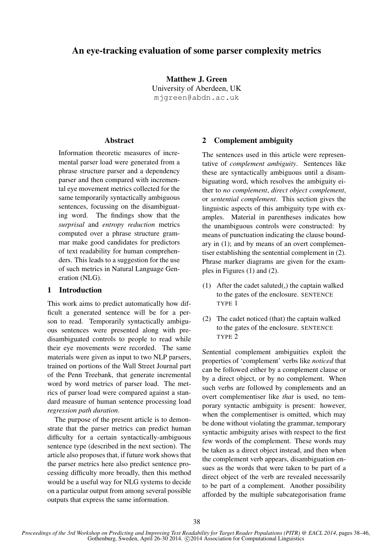# An eye-tracking evaluation of some parser complexity metrics

Matthew J. Green University of Aberdeen, UK mjgreen@abdn.ac.uk

### Abstract

Information theoretic measures of incremental parser load were generated from a phrase structure parser and a dependency parser and then compared with incremental eye movement metrics collected for the same temporarily syntactically ambiguous sentences, focussing on the disambiguating word. The findings show that the *surprisal* and *entropy reduction* metrics computed over a phrase structure grammar make good candidates for predictors of text readability for human comprehenders. This leads to a suggestion for the use of such metrics in Natural Language Generation (NLG).

#### 1 Introduction

This work aims to predict automatically how difficult a generated sentence will be for a person to read. Temporarily syntactically ambiguous sentences were presented along with predisambiguated controls to people to read while their eye movements were recorded. The same materials were given as input to two NLP parsers, trained on portions of the Wall Street Journal part of the Penn Treebank, that generate incremental word by word metrics of parser load. The metrics of parser load were compared against a standard measure of human sentence processing load *regression path duration*.

The purpose of the present article is to demonstrate that the parser metrics can predict human difficulty for a certain syntactically-ambiguous sentence type (described in the next section). The article also proposes that, if future work shows that the parser metrics here also predict sentence processing difficulty more broadly, then this method would be a useful way for NLG systems to decide on a particular output from among several possible outputs that express the same information.

### 2 Complement ambiguity

The sentences used in this article were representative of *complement ambiguity*. Sentences like these are syntactically ambiguous until a disambiguating word, which resolves the ambiguity either to *no complement*, *direct object complement*, or *sentential complement*. This section gives the linguistic aspects of this ambiguity type with examples. Material in parentheses indicates how the unambiguous controls were constructed: by means of punctuation indicating the clause boundary in (1); and by means of an overt complementiser establishing the sentential complement in (2). Phrase marker diagrams are given for the examples in Figures (1) and (2).

- (1) After the cadet saluted(,) the captain walked to the gates of the enclosure. SENTENCE TYPE 1
- (2) The cadet noticed (that) the captain walked to the gates of the enclosure. SENTENCE TYPE 2

Sentential complement ambiguities exploit the properties of 'complement' verbs like *noticed* that can be followed either by a complement clause or by a direct object, or by no complement. When such verbs are followed by complements and an overt complementiser like *that* is used, no temporary syntactic ambiguity is present: however, when the complementiser is omitted, which may be done without violating the grammar, temporary syntactic ambiguity arises with respect to the first few words of the complement. These words may be taken as a direct object instead, and then when the complement verb appears, disambiguation ensues as the words that were taken to be part of a direct object of the verb are revealed necessarily to be part of a complement. Another possibility afforded by the multiple subcategorisation frame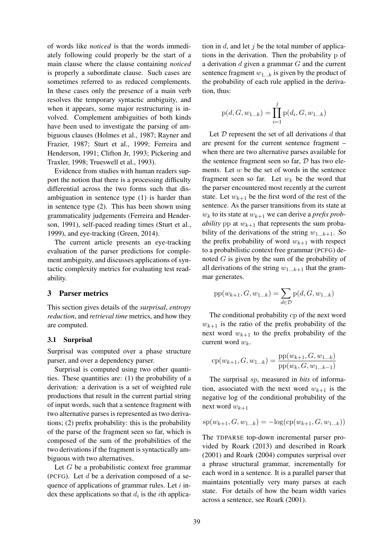of words like *noticed* is that the words immediately following could properly be the start of a main clause where the clause containing *noticed* is properly a subordinate clause. Such cases are sometimes referred to as reduced complements. In these cases only the presence of a main verb resolves the temporary syntactic ambiguity, and when it appears, some major restructuring is involved. Complement ambiguities of both kinds have been used to investigate the parsing of ambiguous clauses (Holmes et al., 1987; Rayner and Frazier, 1987; Sturt et al., 1999; Ferreira and Henderson, 1991; Clifton Jr, 1993; Pickering and Traxler, 1998; Trueswell et al., 1993).

Evidence from studies with human readers support the notion that there is a processing difficulty differential across the two forms such that disambiguation in sentence type (1) is harder than in sentence type (2). This has been shown using grammaticality judgements (Ferreira and Henderson, 1991), self-paced reading times (Sturt et al., 1999), and eye-tracking (Green, 2014).

The current article presents an eye-tracking evaluation of the parser predictions for complement ambiguity, and discusses applications of syntactic complexity metrics for evaluating test readability.

#### 3 Parser metrics

This section gives details of the *surprisal*, *entropy reduction*, and *retrieval time* metrics, and how they are computed.

#### 3.1 Surprisal

Surprisal was computed over a phase structure parser, and over a dependency parser.

Surprisal is computed using two other quantities. These quantities are: (1) the probability of a derivation: a derivation is a set of weighted rule productions that result in the current partial string of input words, such that a sentence fragment with two alternative parses is represented as two derivations; (2) prefix probability: this is the probability of the parse of the fragment seen so far, which is composed of the sum of the probabilities of the two derivations if the fragment is syntactically ambiguous with two alternatives.

Let  $G$  be a probabilistic context free grammar (PCFG). Let  $d$  be a derivation composed of a sequence of applications of grammar rules. Let  $i$  index these applications so that  $d_i$  is the *i*th application in  $d$ , and let  $j$  be the total number of applications in the derivation. Then the probability p of a derivation  $d$  given a grammar  $G$  and the current sentence fragment  $w_{1...k}$  is given by the product of the probability of each rule applied in the derivation, thus:

$$
p(d, G, w_{1...k}) = \prod_{i=1}^{j} p(d_i, G, w_{1...k})
$$

Let  $D$  represent the set of all derivations  $d$  that are present for the current sentence fragment – when there are two alternative parses available for the sentence fragment seen so far, D has two elements. Let  $w$  be the set of words in the sentence fragment seen so far. Let  $w_k$  be the word that the parser encountered most recently at the current state. Let  $w_{k+1}$  be the first word of the rest of the sentence. As the parser transitions from its state at  $w_k$  to its state at  $w_{k+1}$  we can derive a *prefix probability* pp at  $w_{k+1}$  that represents the sum probability of the derivations of the string  $w_{1...k+1}$ . So the prefix probability of word  $w_{k+1}$  with respect to a probabilistic context free grammar (PCFG) denoted  $G$  is given by the sum of the probability of all derivations of the string  $w_{1...k+1}$  that the grammar generates.

$$
pp(w_{k+1}, G, w_{1...k}) = \sum_{d \in \mathcal{D}} p(d, G, w_{1...k})
$$

The conditional probability cp of the next word  $w_{k+1}$  is the ratio of the prefix probability of the next word  $w_{k+1}$  to the prefix probability of the current word  $w_k$ .

$$
cp(w_{k+1}, G, w_{1...k}) = \frac{pp(w_{k+1}, G, w_{1...k})}{pp(w_k, G, w_{1...k-1})}
$$

The surprisal sp, measured in *bits* of information, associated with the next word  $w_{k+1}$  is the negative log of the conditional probability of the next word  $w_{k+1}$ 

$$
sp(w_{k+1}, G, w_{1...k}) = -log(ep(w_{k+1}, G, w_{1...k}))
$$

The TDPARSE top-down incremental parser provided by Roark (2013) and described in Roark (2001) and Roark (2004) computes surprisal over a phrase structural grammar, incrementally for each word in a sentence. It is a parallel parser that maintains potentially very many parses at each state. For details of how the beam width varies across a sentence, see Roark (2001).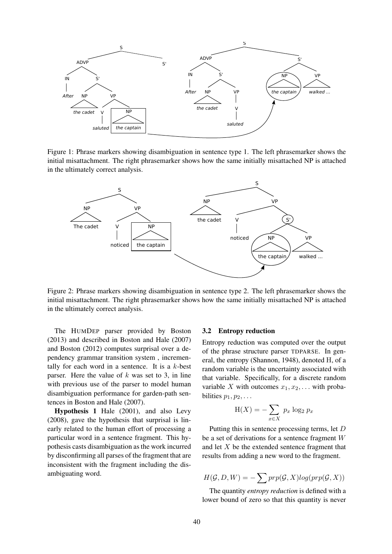

Figure 1: Phrase markers showing disambiguation in sentence type 1. The left phrasemarker shows the initial misattachment. The right phrasemarker shows how the same initially misattached NP is attached in the ultimately correct analysis.



Figure 2: Phrase markers showing disambiguation in sentence type 2. The left phrasemarker shows the initial misattachment. The right phrasemarker shows how the same initially misattached NP is attached in the ultimately correct analysis.

The HUMDEP parser provided by Boston (2013) and described in Boston and Hale (2007) and Boston (2012) computes surprisal over a dependency grammar transition system , incrementally for each word in a sentence. It is a  $k$ -best parser. Here the value of  $k$  was set to 3, in line with previous use of the parser to model human disambiguation performance for garden-path sentences in Boston and Hale (2007).

Hypothesis 1 Hale (2001), and also Levy (2008), gave the hypothesis that surprisal is linearly related to the human effort of processing a particular word in a sentence fragment. This hypothesis casts disambiguation as the work incurred by disconfirming all parses of the fragment that are inconsistent with the fragment including the disambiguating word.

#### 3.2 Entropy reduction

Entropy reduction was computed over the output of the phrase structure parser TDPARSE. In general, the entropy (Shannon, 1948), denoted H, of a random variable is the uncertainty associated with that variable. Specifically, for a discrete random variable X with outcomes  $x_1, x_2, \ldots$  with probabilities  $p_1, p_2, \ldots$ 

$$
H(X) = -\sum_{x \in X} p_x \log_2 p_x
$$

Putting this in sentence processing terms, let D be a set of derivations for a sentence fragment W and let X be the extended sentence fragment that results from adding a new word to the fragment.

$$
H(\mathcal{G}, D, W) = -\sum prp(\mathcal{G}, X)log(prp(\mathcal{G}, X))
$$

The quantity *entropy reduction* is defined with a lower bound of zero so that this quantity is never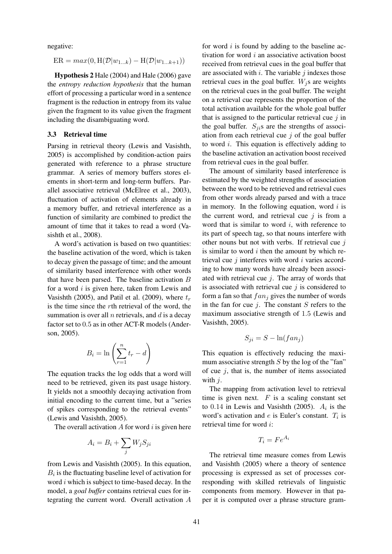negative:

$$
ER = max(0, H(\mathcal{D}|w_{1...k}) - H(\mathcal{D}|w_{1...k+1}))
$$

Hypothesis 2 Hale (2004) and Hale (2006) gave the *entropy reduction hypothesis* that the human effort of processing a particular word in a sentence fragment is the reduction in entropy from its value given the fragment to its value given the fragment including the disambiguating word.

#### 3.3 Retrieval time

Parsing in retrieval theory (Lewis and Vasishth, 2005) is accomplished by condition-action pairs generated with reference to a phrase structure grammar. A series of memory buffers stores elements in short-term and long-term buffers. Parallel associative retrieval (McElree et al., 2003), fluctuation of activation of elements already in a memory buffer, and retrieval interference as a function of similarity are combined to predict the amount of time that it takes to read a word (Vasishth et al., 2008).

A word's activation is based on two quantities: the baseline activation of the word, which is taken to decay given the passage of time; and the amount of similarity based interference with other words that have been parsed. The baseline activation  $B$ for a word  $i$  is given here, taken from Lewis and Vasishth (2005), and Patil et al. (2009), where  $t_r$ is the time since the rth retrieval of the word, the summation is over all  $n$  retrievals, and  $d$  is a decay factor set to 0.5 as in other ACT-R models (Anderson, 2005).

$$
B_i = \ln\left(\sum_{r=1}^n t_r - d\right)
$$

The equation tracks the log odds that a word will need to be retrieved, given its past usage history. It yields not a smoothly decaying activation from initial encoding to the current time, but a "series of spikes corresponding to the retrieval events" (Lewis and Vasishth, 2005).

The overall activation  $A$  for word  $i$  is given here

$$
A_i = B_i + \sum_j W_j S_{ji}
$$

from Lewis and Vasishth (2005). In this equation,  $B_i$  is the fluctuating baseline level of activation for word  $i$  which is subject to time-based decay. In the model, a *goal buffer* contains retrieval cues for integrating the current word. Overall activation A

for word  $i$  is found by adding to the baseline activation for word  $i$  an associative activation boost received from retrieval cues in the goal buffer that are associated with  $i$ . The variable  $j$  indexes those retrieval cues in the goal buffer.  $W_j$ s are weights on the retrieval cues in the goal buffer. The weight on a retrieval cue represents the proportion of the total activation available for the whole goal buffer that is assigned to the particular retrieval cue  $j$  in the goal buffer.  $S_{ij}$ s are the strengths of association from each retrieval cue  $j$  of the goal buffer to word i. This equation is effectively adding to the baseline activation an activation boost received from retrieval cues in the goal buffer.

The amount of similarity based interference is estimated by the weighted strengths of association between the word to be retrieved and retrieval cues from other words already parsed and with a trace in memory. In the following equation, word  $i$  is the current word, and retrieval cue  $i$  is from a word that is similar to word  $i$ , with reference to its part of speech tag, so that nouns interfere with other nouns but not with verbs. If retrieval cue  $j$ is similar to word  $i$  then the amount by which retrieval cue  $j$  interferes with word  $i$  varies according to how many words have already been associated with retrieval cue  $j$ . The array of words that is associated with retrieval cue  $j$  is considered to form a fan so that  $fan<sub>j</sub>$  gives the number of words in the fan for cue  $j$ . The constant  $S$  refers to the maximum associative strength of 1.5 (Lewis and Vasishth, 2005).

$$
S_{ji} = S - \ln(fan_j)
$$

This equation is effectively reducing the maximum associative strength  $S$  by the log of the "fan" of cue  $i$ , that is, the number of items associated with  $i$ .

The mapping from activation level to retrieval time is given next.  $F$  is a scaling constant set to 0.14 in Lewis and Vasishth (2005).  $A_i$  is the word's activation and  $e$  is Euler's constant.  $T_i$  is retrieval time for word i:

$$
T_i = Fe^{A_i}
$$

The retrieval time measure comes from Lewis and Vasishth (2005) where a theory of sentence processing is expressed as set of processes corresponding with skilled retrievals of linguistic components from memory. However in that paper it is computed over a phrase structure gram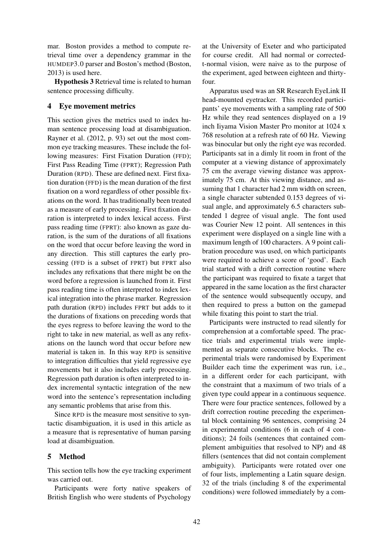mar. Boston provides a method to compute retrieval time over a dependency grammar in the HUMDEP3.0 parser and Boston's method (Boston, 2013) is used here.

Hypothesis 3 Retrieval time is related to human sentence processing difficulty.

### 4 Eye movement metrics

This section gives the metrics used to index human sentence processing load at disambiguation. Rayner et al. (2012, p. 93) set out the most common eye tracking measures. These include the following measures: First Fixation Duration (FFD); First Pass Reading Time (FPRT); Regression Path Duration (RPD). These are defined next. First fixation duration (FFD) is the mean duration of the first fixation on a word regardless of other possible fixations on the word. It has traditionally been treated as a measure of early processing. First fixation duration is interpreted to index lexical access. First pass reading time (FPRT): also known as gaze duration, is the sum of the durations of all fixations on the word that occur before leaving the word in any direction. This still captures the early processing (FFD is a subset of FPRT) but FPRT also includes any refixations that there might be on the word before a regression is launched from it. First pass reading time is often interpreted to index lexical integration into the phrase marker. Regression path duration (RPD) includes FPRT but adds to it the durations of fixations on preceding words that the eyes regress to before leaving the word to the right to take in new material, as well as any refixations on the launch word that occur before new material is taken in. In this way RPD is sensitive to integration difficulties that yield regressive eye movements but it also includes early processing. Regression path duration is often interpreted to index incremental syntactic integration of the new word into the sentence's representation including any semantic problems that arise from this.

Since RPD is the measure most sensitive to syntactic disambiguation, it is used in this article as a measure that is representative of human parsing load at disambiguation.

# 5 Method

This section tells how the eye tracking experiment was carried out.

Participants were forty native speakers of British English who were students of Psychology at the University of Exeter and who participated for course credit. All had normal or correctedt-normal vision, were naive as to the purpose of the experiment, aged between eighteen and thirtyfour.

Apparatus used was an SR Research EyeLink II head-mounted eyetracker. This recorded participants' eye movements with a sampling rate of 500 Hz while they read sentences displayed on a 19 inch Iiyama Vision Master Pro monitor at 1024 x 768 resolution at a refresh rate of 60 Hz. Viewing was binocular but only the right eye was recorded. Participants sat in a dimly lit room in front of the computer at a viewing distance of approximately 75 cm the average viewing distance was approximately 75 cm. At this viewing distance, and assuming that 1 character had 2 mm width on screen, a single character subtended 0.153 degrees of visual angle, and approximately 6.5 characters subtended 1 degree of visual angle. The font used was Courier New 12 point. All sentences in this experiment were displayed on a single line with a maximum length of 100 characters. A 9 point calibration procedure was used, on which participants were required to achieve a score of 'good'. Each trial started with a drift correction routine where the participant was required to fixate a target that appeared in the same location as the first character of the sentence would subsequently occupy, and then required to press a button on the gamepad while fixating this point to start the trial.

Participants were instructed to read silently for comprehension at a comfortable speed. The practice trials and experimental trials were implemented as separate consecutive blocks. The experimental trials were randomised by Experiment Builder each time the experiment was run, i.e., in a different order for each participant, with the constraint that a maximum of two trials of a given type could appear in a continuous sequence. There were four practice sentences, followed by a drift correction routine preceding the experimental block containing 96 sentences, comprising 24 in experimental conditions (6 in each of 4 conditions); 24 foils (sentences that contained complement ambiguities that resolved to NP) and 48 fillers (sentences that did not contain complement ambiguity). Participants were rotated over one of four lists, implementing a Latin square design. 32 of the trials (including 8 of the experimental conditions) were followed immediately by a com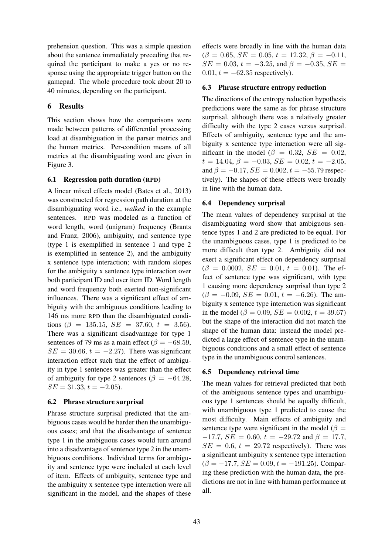prehension question. This was a simple question about the sentence immediately preceding that required the participant to make a yes or no response using the appropriate trigger button on the gamepad. The whole procedure took about 20 to 40 minutes, depending on the participant.

# 6 Results

This section shows how the comparisons were made between patterns of differential processing load at disambiguation in the parser metrics and the human metrics. Per-condition means of all metrics at the disambiguating word are given in Figure 3.

# 6.1 Regression path duration (RPD)

A linear mixed effects model (Bates et al., 2013) was constructed for regression path duration at the disambiguating word i.e., *walked* in the example sentences. RPD was modeled as a function of word length, word (unigram) frequency (Brants and Franz, 2006), ambiguity, and sentence type (type 1 is exemplified in sentence 1 and type 2 is exemplified in sentence 2), and the ambiguity x sentence type interaction; with random slopes for the ambiguity x sentence type interaction over both participant ID and over item ID. Word length and word frequency both exerted non-significant influences. There was a significant effect of ambiguity with the ambiguous conditions leading to 146 ms more RPD than the disambiguated conditions ( $\beta = 135.15$ ,  $SE = 37.60$ ,  $t = 3.56$ ). There was a significant disadvantage for type 1 sentences of 79 ms as a main effect ( $\beta = -68.59$ ,  $SE = 30.66$ ,  $t = -2.27$ ). There was significant interaction effect such that the effect of ambiguity in type 1 sentences was greater than the effect of ambiguity for type 2 sentences ( $\beta = -64.28$ ,  $SE = 31.33, t = -2.05$ .

# 6.2 Phrase structure surprisal

Phrase structure surprisal predicted that the ambiguous cases would be harder then the unambiguous cases; and that the disadvantage of sentence type 1 in the ambiguous cases would turn around into a disadvantage of sentence type 2 in the unambiguous conditions. Individual terms for ambiguity and sentence type were included at each level of item. Effects of ambiguity, sentence type and the ambiguity x sentence type interaction were all significant in the model, and the shapes of these effects were broadly in line with the human data  $(\beta = 0.65, SE = 0.05, t = 12.32, \beta = -0.11,$  $SE = 0.03$ ,  $t = -3.25$ , and  $\beta = -0.35$ ,  $SE =$ 0.01,  $t = -62.35$  respectively).

# 6.3 Phrase structure entropy reduction

The directions of the entropy reduction hypothesis predictions were the same as for phrase structure surprisal, although there was a relatively greater difficulty with the type 2 cases versus surprisal. Effects of ambiguity, sentence type and the ambiguity x sentence type interaction were all significant in the model ( $\beta = 0.32$ ,  $SE = 0.02$ ,  $t = 14.04, \beta = -0.03, SE = 0.02, t = -2.05,$ and  $\beta = -0.17$ ,  $SE = 0.002$ ,  $t = -55.79$  respectively). The shapes of these effects were broadly in line with the human data.

# 6.4 Dependency surprisal

The mean values of dependency surprisal at the disambiguating word show that ambiguous sentence types 1 and 2 are predicted to be equal. For the unambiguous cases, type 1 is predicted to be more difficult than type 2. Ambiguity did not exert a significant effect on dependency surprisal  $(\beta = 0.0002, SE = 0.01, t = 0.01)$ . The effect of sentence type was significant, with type 1 causing more dependency surprisal than type 2  $(\beta = -0.09, SE = 0.01, t = -6.26)$ . The ambiguity x sentence type interaction was significant in the model ( $\beta = 0.09$ ,  $SE = 0.002$ ,  $t = 39.67$ ) but the shape of the interaction did not match the shape of the human data: instead the model predicted a large effect of sentence type in the unambiguous conditions and a small effect of sentence type in the unambiguous control sentences.

# 6.5 Dependency retrieval time

The mean values for retrieval predicted that both of the ambiguous sentence types and unambiguous type 1 sentences should be equally difficult, with unambiguous type 1 predicted to cause the most difficulty. Main effects of ambiguity and sentence type were significant in the model ( $\beta$  =  $-17.7$ ,  $SE = 0.60$ ,  $t = -29.72$  and  $\beta = 17.7$ ,  $SE = 0.6$ ,  $t = 29.72$  respectively). There was a significant ambiguity x sentence type interaction  $(\beta = -17.7, SE = 0.09, t = -191.25)$ . Comparing these prediction with the human data, the predictions are not in line with human performance at all.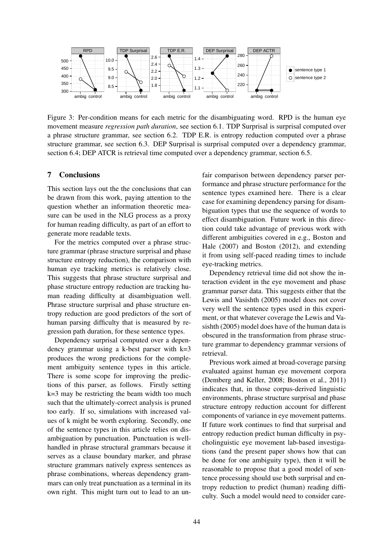

Figure 3: Per-condition means for each metric for the disambiguating word. RPD is the human eye movement measure *regression path duration*, see section 6.1. TDP Surprisal is surprisal computed over a phrase structure grammar, see section 6.2. TDP E.R. is entropy reduction computed over a phrase structure grammar, see section 6.3. DEP Surprisal is surprisal computed over a dependency grammar, section 6.4; DEP ATCR is retrieval time computed over a dependency grammar, section 6.5.

#### 7 Conclusions

This section lays out the the conclusions that can be drawn from this work, paying attention to the question whether an information theoretic measure can be used in the NLG process as a proxy for human reading difficulty, as part of an effort to generate more readable texts.

For the metrics computed over a phrase structure grammar (phrase structure surprisal and phase structure entropy reduction), the comparison with human eye tracking metrics is relatively close. This suggests that phrase structure surprisal and phase structure entropy reduction are tracking human reading difficulty at disambiguation well. Phrase structure surprisal and phase structure entropy reduction are good predictors of the sort of human parsing difficulty that is measured by regression path duration, for these sentence types.

Dependency surprisal computed over a dependency grammar using a k-best parser with k=3 produces the wrong predictions for the complement ambiguity sentence types in this article. There is some scope for improving the predictions of this parser, as follows. Firstly setting k=3 may be restricting the beam width too much such that the ultimately-correct analysis is pruned too early. If so, simulations with increased values of k might be worth exploring. Secondly, one of the sentence types in this article relies on disambiguation by punctuation. Punctuation is wellhandled in phrase structural grammars because it serves as a clause boundary marker, and phrase structure grammars natively express sentences as phrase combinations, whereas dependency grammars can only treat punctuation as a terminal in its own right. This might turn out to lead to an unfair comparison between dependency parser performance and phrase structure performance for the sentence types examined here. There is a clear case for examining dependency parsing for disambiguation types that use the sequence of words to effect disambiguation. Future work in this direction could take advantage of previous work with different ambiguities covered in e.g., Boston and Hale (2007) and Boston (2012), and extending it from using self-paced reading times to include eye-tracking metrics.

Dependency retrieval time did not show the interaction evident in the eye movement and phase grammar parser data. This suggests either that the Lewis and Vasishth (2005) model does not cover very well the sentence types used in this experiment, or that whatever coverage the Lewis and Vasishth (2005) model does have of the human data is obscured in the transformation from phrase structure grammar to dependency grammar versions of retrieval.

Previous work aimed at broad-coverage parsing evaluated against human eye movement corpora (Demberg and Keller, 2008; Boston et al., 2011) indicates that, in those corpus-derived linguistic environments, phrase structure surprisal and phase structure entropy reduction account for different components of variance in eye movement patterns. If future work continues to find that surprisal and entropy reduction predict human difficulty in psycholinguistic eye movement lab-based investigations (and the present paper shows how that can be done for one ambiguity type), then it will be reasonable to propose that a good model of sentence processing should use both surprisal and entropy reduction to predict (human) reading difficulty. Such a model would need to consider care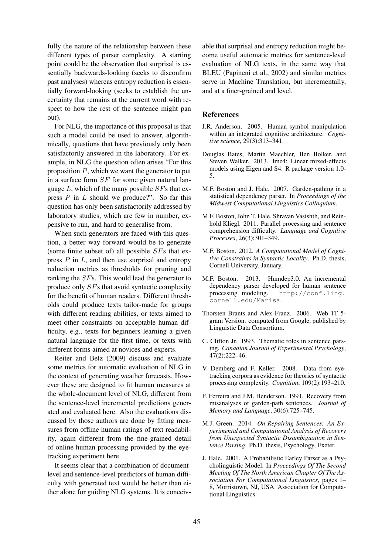fully the nature of the relationship between these different types of parser complexity. A starting point could be the observation that surprisal is essentially backwards-looking (seeks to disconfirm past analyses) whereas entropy reduction is essentially forward-looking (seeks to establish the uncertainty that remains at the current word with respect to how the rest of the sentence might pan out).

For NLG, the importance of this proposal is that such a model could be used to answer, algorithmically, questions that have previously only been satisfactorily answered in the laboratory. For example, in NLG the question often arises "For this proposition  $P$ , which we want the generator to put in a surface form SF for some given natural language  $L$ , which of the many possible  $SFs$  that express  $P$  in  $L$  should we produce?". So far this question has only been satisfactorily addressed by laboratory studies, which are few in number, expensive to run, and hard to generalise from.

When such generators are faced with this question, a better way forward would be to generate (some finite subset of) all possible  $SFs$  that express  $P$  in  $L$ , and then use surprisal and entropy reduction metrics as thresholds for pruning and ranking the SFs. This would lead the generator to produce only SFs that avoid syntactic complexity for the benefit of human readers. Different thresholds could produce texts tailor-made for groups with different reading abilities, or texts aimed to meet other constraints on acceptable human difficulty, e.g., texts for beginners learning a given natural language for the first time, or texts with different forms aimed at novices and experts.

Reiter and Belz (2009) discuss and evaluate some metrics for automatic evaluation of NLG in the context of generating weather forecasts. However these are designed to fit human measures at the whole-document level of NLG, different from the sentence-level incremental predictions generated and evaluated here. Also the evaluations discussed by those authors are done by fitting measures from offline human ratings of text readability, again different from the fine-grained detail of online human processing provided by the eyetracking experiment here.

It seems clear that a combination of documentlevel and sentence-level predictors of human difficulty with generated text would be better than either alone for guiding NLG systems. It is conceiv-

able that surprisal and entropy reduction might become useful automatic metrics for sentence-level evaluation of NLG texts, in the same way that BLEU (Papineni et al., 2002) and similar metrics serve in Machine Translation, but incrementally, and at a finer-grained and level.

#### **References**

- J.R. Anderson. 2005. Human symbol manipulation within an integrated cognitive architecture. *Cognitive science*, 29(3):313–341.
- Douglas Bates, Martin Maechler, Ben Bolker, and Steven Walker. 2013. lme4: Linear mixed-effects models using Eigen and S4. R package version 1.0- 5.
- M.F. Boston and J. Hale. 2007. Garden-pathing in a statistical dependency parser. In *Proceedings of the Midwest Computational Linguistics Colloquium*.
- M.F. Boston, John T. Hale, Shravan Vasishth, and Reinhold Kliegl. 2011. Parallel processing and sentence comprehension difficulty. *Language and Cognitive Processes*, 26(3):301–349.
- M.F. Boston. 2012. *A Computational Model of Cognitive Constraints in Syntactic Locality*. Ph.D. thesis, Cornell University, January.
- M.F. Boston. 2013. Humdep3.0. An incremental dependency parser developed for human sentence processing modeling. http://conf.ling. cornell.edu/Marisa.
- Thorsten Brants and Alex Franz. 2006. Web 1T 5 gram Version. computed from Google, published by Linguistic Data Consortium.
- C. Clifton Jr. 1993. Thematic roles in sentence parsing. *Canadian Journal of Experimental Psychology*, 47(2):222–46.
- V. Demberg and F. Keller. 2008. Data from eyetracking corpora as evidence for theories of syntactic processing complexity. *Cognition*, 109(2):193–210.
- F. Ferreira and J.M. Henderson. 1991. Recovery from misanalyses of garden-path sentences. *Journal of Memory and Language*, 30(6):725–745.
- M.J. Green. 2014. *On Repairing Sentences: An Experimental and Computational Analysis of Recovery from Unexpected Syntactic Disambiguation in Sentence Parsing*. Ph.D. thesis, Psychology, Exeter.
- J. Hale. 2001. A Probabilistic Earley Parser as a Psycholinguistic Model. In *Proceedings Of The Second Meeting Of The North American Chapter Of The Association For Computational Linguistics*, pages 1– 8, Morristown, NJ, USA. Association for Computational Linguistics.